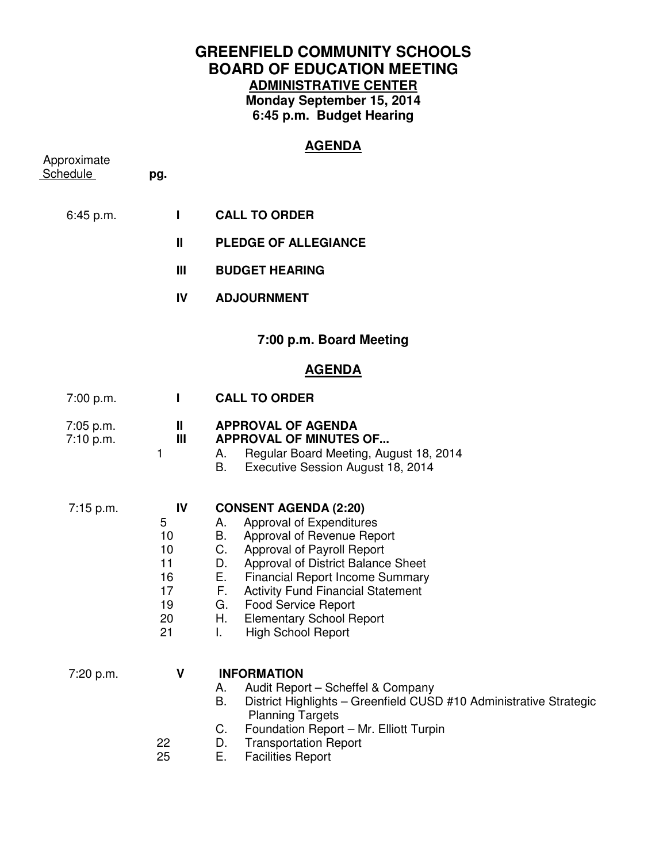# **GREENFIELD COMMUNITY SCHOOLS BOARD OF EDUCATION MEETING ADMINISTRATIVE CENTER Monday September 15, 2014 6:45 p.m. Budget Hearing**

**AGENDA** 

| Approximate            |                                                         | <u>______</u>                                                                                                                                                                                                                                                                                                                                                                                        |
|------------------------|---------------------------------------------------------|------------------------------------------------------------------------------------------------------------------------------------------------------------------------------------------------------------------------------------------------------------------------------------------------------------------------------------------------------------------------------------------------------|
| <b>Schedule</b>        | pg.                                                     |                                                                                                                                                                                                                                                                                                                                                                                                      |
| 6:45 p.m.              | Т                                                       | <b>CALL TO ORDER</b>                                                                                                                                                                                                                                                                                                                                                                                 |
|                        | $\mathbf{I}$                                            | <b>PLEDGE OF ALLEGIANCE</b>                                                                                                                                                                                                                                                                                                                                                                          |
|                        | Ш                                                       | <b>BUDGET HEARING</b>                                                                                                                                                                                                                                                                                                                                                                                |
|                        | IV                                                      | <b>ADJOURNMENT</b>                                                                                                                                                                                                                                                                                                                                                                                   |
|                        |                                                         | 7:00 p.m. Board Meeting                                                                                                                                                                                                                                                                                                                                                                              |
|                        |                                                         | <b>AGENDA</b>                                                                                                                                                                                                                                                                                                                                                                                        |
| 7:00 p.m.              | $\mathbf{I}$                                            | <b>CALL TO ORDER</b>                                                                                                                                                                                                                                                                                                                                                                                 |
| 7:05 p.m.<br>7:10 p.m. | Ш<br>$\mathbf{III}$<br>1                                | <b>APPROVAL OF AGENDA</b><br><b>APPROVAL OF MINUTES OF</b><br>Regular Board Meeting, August 18, 2014<br>А.<br>В.<br>Executive Session August 18, 2014                                                                                                                                                                                                                                                |
| $7:15$ p.m.            | IV<br>5<br>10<br>10<br>11<br>16<br>17<br>19<br>20<br>21 | <b>CONSENT AGENDA (2:20)</b><br>Approval of Expenditures<br>А.<br>Approval of Revenue Report<br>B.<br>C.<br>Approval of Payroll Report<br>Approval of District Balance Sheet<br>D.<br>Е.<br><b>Financial Report Income Summary</b><br>F.<br><b>Activity Fund Financial Statement</b><br><b>Food Service Report</b><br>G.<br>Η.<br><b>Elementary School Report</b><br><b>High School Report</b><br>I. |
| 7:20 p.m.              | V<br>22                                                 | <b>INFORMATION</b><br>Audit Report - Scheffel & Company<br>А.<br>B.<br>District Highlights - Greenfield CUSD #10 Administrative Strategic<br><b>Planning Targets</b><br>Foundation Report - Mr. Elliott Turpin<br>C.<br><b>Transportation Report</b><br>D.                                                                                                                                           |

25 E. Facilities Report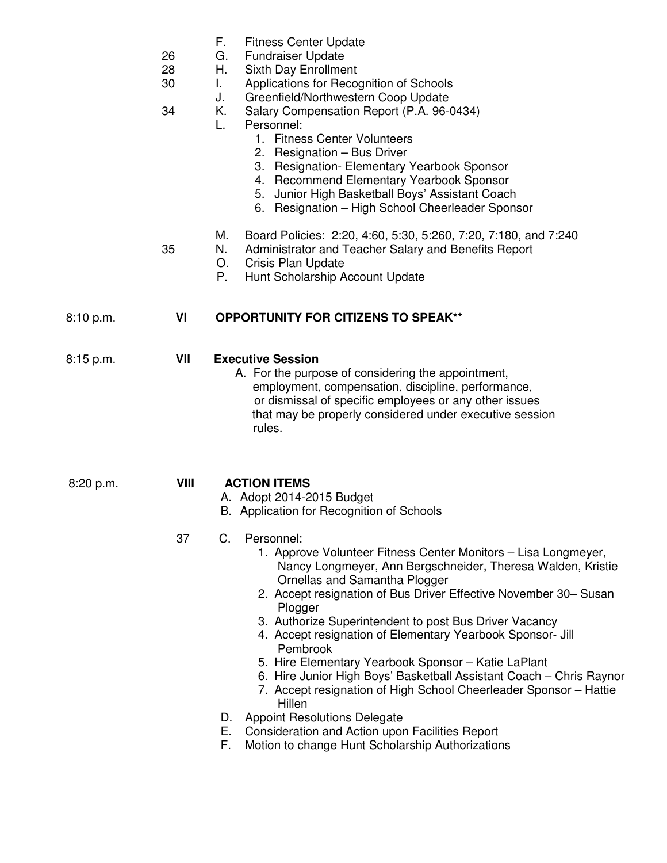- F. Fitness Center Update
- 26 G. Fundraiser Update
- 28 H. Sixth Day Enrollment
- 30 I. Applications for Recognition of Schools
	- J. Greenfield/Northwestern Coop Update
- 34 K. Salary Compensation Report (P.A. 96-0434)
	- L. Personnel:
		- 1. Fitness Center Volunteers
			- 2. Resignation Bus Driver
			- 3. Resignation- Elementary Yearbook Sponsor
			- 4. Recommend Elementary Yearbook Sponsor
			- 5. Junior High Basketball Boys' Assistant Coach
		- 6. Resignation High School Cheerleader Sponsor
	- M. Board Policies: 2:20, 4:60, 5:30, 5:260, 7:20, 7:180, and 7:240
- 35 N. Administrator and Teacher Salary and Benefits Report
	- O. Crisis Plan Update
	- P. Hunt Scholarship Account Update

# 8:10 p.m. **VI OPPORTUNITY FOR CITIZENS TO SPEAK\*\***

# 8:15 p.m. **VII Executive Session**

 A. For the purpose of considering the appointment, employment, compensation, discipline, performance, or dismissal of specific employees or any other issues that may be properly considered under executive session rules.

## 8:20 p.m. **VIII ACTION ITEMS**

- A. Adopt 2014-2015 Budget
- B. Application for Recognition of Schools

## 37 C. Personnel:

- 1. Approve Volunteer Fitness Center Monitors Lisa Longmeyer, Nancy Longmeyer, Ann Bergschneider, Theresa Walden, Kristie Ornellas and Samantha Plogger
- 2. Accept resignation of Bus Driver Effective November 30– Susan **Plogger**
- 3. Authorize Superintendent to post Bus Driver Vacancy
- 4. Accept resignation of Elementary Yearbook Sponsor- Jill Pembrook
- 5. Hire Elementary Yearbook Sponsor Katie LaPlant
- 6. Hire Junior High Boys' Basketball Assistant Coach Chris Raynor
- 7. Accept resignation of High School Cheerleader Sponsor Hattie Hillen
- D. Appoint Resolutions Delegate
- E. Consideration and Action upon Facilities Report
- F. Motion to change Hunt Scholarship Authorizations